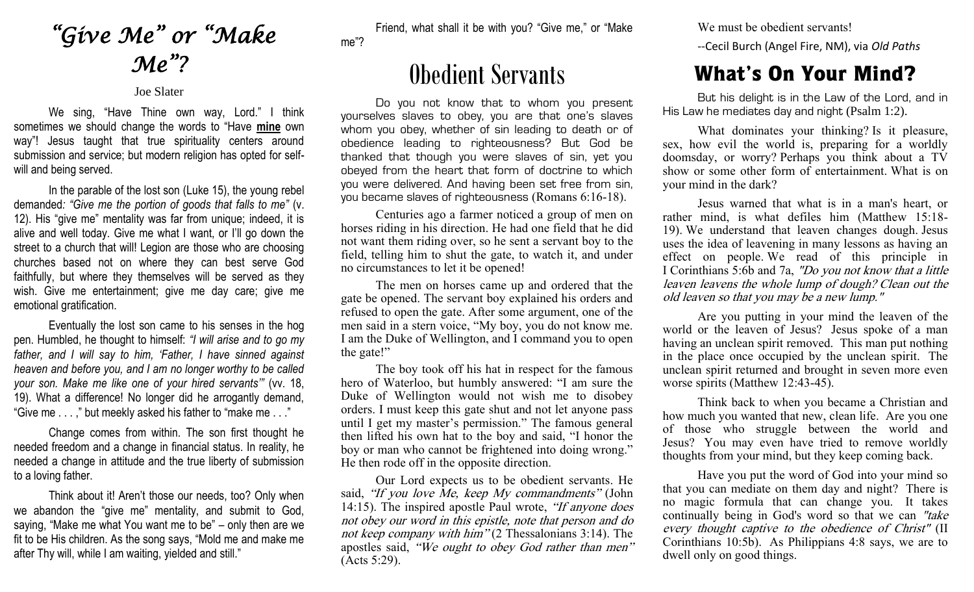## *"Give Me" or "Make Me"?*

## Joe Slater

We sing, "Have Thine own way, Lord." I think sometimes we should change the words to "Have **mine** own way"! Jesus taught that true spirituality centers around submission and service; but modern religion has opted for selfwill and being served.

In the parable of the lost son (Luke 15), the young rebel demanded*: "Give me the portion of goods that falls to me"* (v. 12). His "give me" mentality was far from unique; indeed, it is alive and well today. Give me what I want, or I'll go down the street to a church that will! Legion are those who are choosing churches based not on where they can best serve God faithfully, but where they themselves will be served as they wish. Give me entertainment; give me day care; give me emotional gratification.

Eventually the lost son came to his senses in the hog pen. Humbled, he thought to himself: *"I will arise and to go my father, and I will say to him, 'Father, I have sinned against heaven and before you, and I am no longer worthy to be called your son. Make me like one of your hired servants'"* (vv. 18, 19). What a difference! No longer did he arrogantly demand, "Give me . . . ," but meekly asked his father to "make me . . ."

Change comes from within. The son first thought he needed freedom and a change in financial status. In reality, he needed a change in attitude and the true liberty of submission to a loving father.

Think about it! Aren't those our needs, too? Only when we abandon the "give me" mentality, and submit to God, saying, "Make me what You want me to be" – only then are we fit to be His children. As the song says, "Mold me and make me after Thy will, while I am waiting, yielded and still."

Friend, what shall it be with you? "Give me," or "Make me"?

## Obedient Servants

Do you not know that to whom you present yourselves slaves to obey, you are that one's slaves whom you obey, whether of sin leading to death or of obedience leading to righteousness? But God be thanked that though you were slaves of sin, yet you obeyed from the heart that form of doctrine to which you were delivered. And having been set free from sin, you became slaves of righteousness (Romans 6:16-18).

Centuries ago a farmer noticed a group of men on horses riding in his direction. He had one field that he did not want them riding over, so he sent a servant boy to the field, telling him to shut the gate, to watch it, and under no circumstances to let it be opened!

The men on horses came up and ordered that the gate be opened. The servant boy explained his orders and refused to open the gate. After some argument, one of the men said in a stern voice, "My boy, you do not know me. I am the Duke of Wellington, and I command you to open the gate!"

The boy took off his hat in respect for the famous hero of Waterloo, but humbly answered: "I am sure the Duke of Wellington would not wish me to disobey orders. I must keep this gate shut and not let anyone pass until I get my master's permission." The famous general then lifted his own hat to the boy and said, "I honor the boy or man who cannot be frightened into doing wrong." He then rode off in the opposite direction.

Our Lord expects us to be obedient servants. He said, "If you love Me, keep My commandments" (John 14:15). The inspired apostle Paul wrote, *'If anyone does* not obey our word in this epistle, note that person and do not keep company with him" (2 Thessalonians 3:14). The apostles said, "We ought to obey God rather than men" (Acts 5:29).

We must be obedient servants!

--Cecil Burch (Angel Fire, NM), via *Old Paths*

## What's On Your Mind?

But his delight is in the Law of the Lord, and in His Law he mediates day and night (Psalm 1:2).

What dominates your thinking? Is it pleasure, sex, how evil the world is, preparing for a worldly doomsday, or worry? Perhaps you think about a TV show or some other form of entertainment. What is on your mind in the dark?

Jesus warned that what is in a man's heart, or rather mind, is what defiles him (Matthew 15:18- 19). We understand that leaven changes dough. Jesus uses the idea of leavening in many lessons as having an effect on people. We read of this principle in I Corinthians 5:6b and 7a, "Do you not know that a little leaven leavens the whole lump of dough? Clean out the old leaven so that you may be a new lump."

Are you putting in your mind the leaven of the world or the leaven of Jesus? Jesus spoke of a man having an unclean spirit removed. This man put nothing in the place once occupied by the unclean spirit. The unclean spirit returned and brought in seven more even worse spirits (Matthew 12:43-45).

Think back to when you became a Christian and how much you wanted that new, clean life. Are you one of those who struggle between the world and Jesus? You may even have tried to remove worldly thoughts from your mind, but they keep coming back.

Have you put the word of God into your mind so that you can mediate on them day and night? There is no magic formula that can change you. It takes continually being in God's word so that we can "take every thought captive to the obedience of Christ" (II Corinthians 10:5b). As Philippians 4:8 says, we are to dwell only on good things.